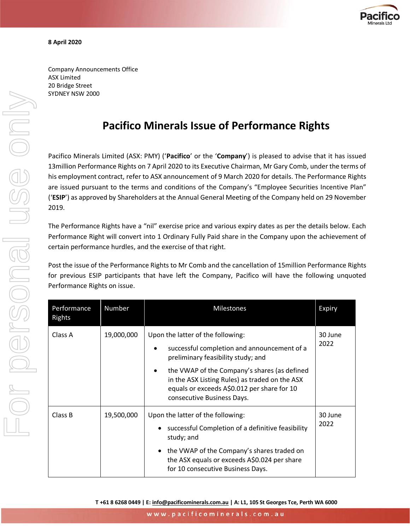

Company Announcements Office ASX Limited 20 Bridge Street SYDNEY NSW 2000

# **Pacifico Minerals Issue of Performance Rights**

Pacifico Minerals Limited (ASX: PMY) ('**Pacifico**' or the '**Company**') is pleased to advise that it has issued 13million Performance Rights on 7 April 2020 to its Executive Chairman, Mr Gary Comb, under the terms of his employment contract, refer to ASX announcement of 9 March 2020 for details. The Performance Rights are issued pursuant to the terms and conditions of the Company's "Employee Securities Incentive Plan" ('**ESIP**') as approved by Shareholders at the Annual General Meeting of the Company held on 29 November 2019.

The Performance Rights have a "nil" exercise price and various expiry dates as per the details below. Each Performance Right will convert into 1 Ordinary Fully Paid share in the Company upon the achievement of certain performance hurdles, and the exercise of that right.

Post the issue of the Performance Rights to Mr Comb and the cancellation of 15million Performance Rights for previous ESIP participants that have left the Company, Pacifico will have the following unquoted Performance Rights on issue.

| Performance<br>Rights | Number     | <b>Milestones</b>                                                                                                                                                                                                                                      | Expiry          |
|-----------------------|------------|--------------------------------------------------------------------------------------------------------------------------------------------------------------------------------------------------------------------------------------------------------|-----------------|
| Class A               | 19,000,000 | Upon the latter of the following:<br>successful completion and announcement of a<br>preliminary feasibility study; and                                                                                                                                 | 30 June<br>2022 |
|                       |            | the VWAP of the Company's shares (as defined<br>٠<br>in the ASX Listing Rules) as traded on the ASX<br>equals or exceeds A\$0.012 per share for 10<br>consecutive Business Days.                                                                       |                 |
| Class B               | 19,500,000 | Upon the latter of the following:<br>successful Completion of a definitive feasibility<br>$\bullet$<br>study; and<br>• the VWAP of the Company's shares traded on<br>the ASX equals or exceeds A\$0.024 per share<br>for 10 consecutive Business Days. | 30 June<br>2022 |

**T +61 8 6268 0449 | E[: info@pacificominerals.com.au](mailto:info@pacificominerals.com.au) | A: L1, 105 St Georges Tce, Perth WA 6000**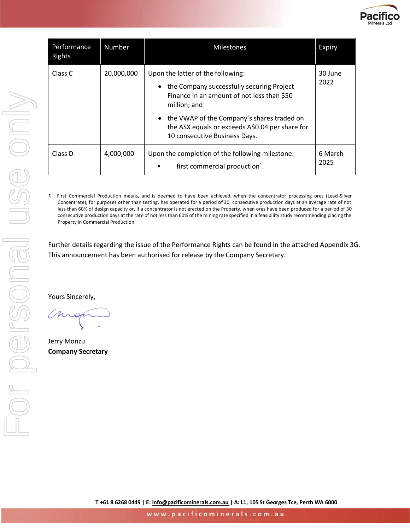

| Performance<br>Rights | Number     | <b>Milestones</b>                                                                                                                                                                                                                                                                  | Expiry          |
|-----------------------|------------|------------------------------------------------------------------------------------------------------------------------------------------------------------------------------------------------------------------------------------------------------------------------------------|-----------------|
| Class C               | 20,000,000 | Upon the latter of the following:<br>• the Company successfully securing Project<br>Finance in an amount of not less than \$50<br>million; and<br>• the VWAP of the Company's shares traded on<br>the ASX equals or exceeds A\$0.04 per share for<br>10 consecutive Business Days. | 30 June<br>2022 |
| Class D               | 4,000,000  | Upon the completion of the following milestone:<br>first commercial production <sup>1</sup> .<br>$\bullet$                                                                                                                                                                         | 6 March<br>2025 |

**1** First Commercial Production means, and is deemed to have been achieved, when the concentrator processing ores (Lead-Silver Concentrate), for purposes other than testing, has operated for a period of 30 consecutive production days at an average rate of not less than 60% of design capacity or, if a concentrator is not erected on the Property, when ores have been produced for a period of 30 consecutive production days at the rate of not less than 60% of the mining rate specified in a feasibility study recommending placing the Property in Commercial Production.

Further details regarding the issue of the Performance Rights can be found in the attached Appendix 3G. This announcement has been authorised for release by the Company Secretary.

Yours Sincerely,

Jerry Monzu **Company Secretary**

**T +61 8 6268 0449 | E[: info@pacificominerals.com.au](mailto:info@pacificominerals.com.au) | A: L1, 105 St Georges Tce, Perth WA 6000**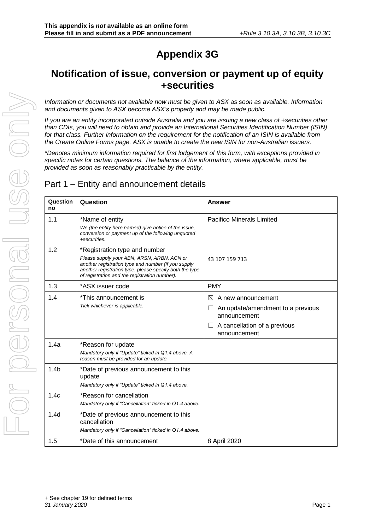# **Appendix 3G**

# **Notification of issue, conversion or payment up of equity +securities**

*Information or documents not available now must be given to ASX as soon as available. Information and documents given to ASX become ASX's property and may be made public.*

*If you are an entity incorporated outside Australia and you are issuing a new class of +securities other than CDIs, you will need to obtain and provide an International Securities Identification Number (ISIN) for that class. Further information on the requirement for the notification of an ISIN is available from the Create Online Forms page. ASX is unable to create the new ISIN for non-Australian issuers.*

*\*Denotes minimum information required for first lodgement of this form, with exceptions provided in specific notes for certain questions. The balance of the information, where applicable, must be provided as soon as reasonably practicable by the entity.*

## Part 1 – Entity and announcement details

| Question<br>no   | Question                                                                                                                                                                                                                                       | Answer                                                                                                                       |
|------------------|------------------------------------------------------------------------------------------------------------------------------------------------------------------------------------------------------------------------------------------------|------------------------------------------------------------------------------------------------------------------------------|
| 1.1              | *Name of entity<br>We (the entity here named) give notice of the issue,<br>conversion or payment up of the following unquoted<br>+securities.                                                                                                  | <b>Pacifico Minerals Limited</b>                                                                                             |
| 1.2              | *Registration type and number<br>Please supply your ABN, ARSN, ARBN, ACN or<br>another registration type and number (if you supply<br>another registration type, please specify both the type<br>of registration and the registration number). | 43 107 159 713                                                                                                               |
| 1.3              | *ASX issuer code                                                                                                                                                                                                                               | <b>PMY</b>                                                                                                                   |
| 1.4              | *This announcement is<br>Tick whichever is applicable.                                                                                                                                                                                         | ⊠<br>A new announcement<br>An update/amendment to a previous<br>announcement<br>A cancellation of a previous<br>announcement |
| 1.4a             | *Reason for update<br>Mandatory only if "Update" ticked in Q1.4 above. A<br>reason must be provided for an update.                                                                                                                             |                                                                                                                              |
| 1.4 <sub>b</sub> | *Date of previous announcement to this<br>update<br>Mandatory only if "Update" ticked in Q1.4 above.                                                                                                                                           |                                                                                                                              |
| 1.4c             | *Reason for cancellation<br>Mandatory only if "Cancellation" ticked in Q1.4 above.                                                                                                                                                             |                                                                                                                              |
| 1.4 <sub>d</sub> | *Date of previous announcement to this<br>cancellation<br>Mandatory only if "Cancellation" ticked in Q1.4 above.                                                                                                                               |                                                                                                                              |
| 1.5              | *Date of this announcement                                                                                                                                                                                                                     | 8 April 2020                                                                                                                 |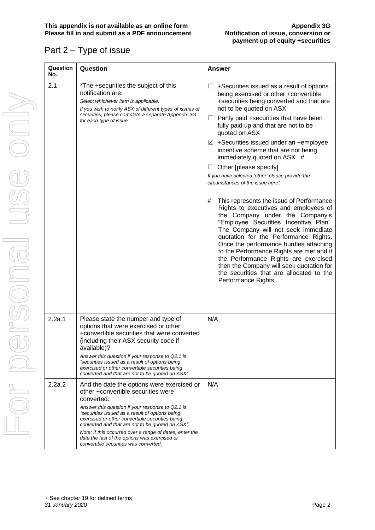## Part 2 – Type of issue

| Question<br>No. | Question                                                                                                                                                                                                                                                                                                                                                                                                                                                          | <b>Answer</b>                                                                                                                                                                                                                                                                                                                                                                                                                                                                                                                                                                                                                                                                                                                                                                                                                                                                                                                                                                                                              |
|-----------------|-------------------------------------------------------------------------------------------------------------------------------------------------------------------------------------------------------------------------------------------------------------------------------------------------------------------------------------------------------------------------------------------------------------------------------------------------------------------|----------------------------------------------------------------------------------------------------------------------------------------------------------------------------------------------------------------------------------------------------------------------------------------------------------------------------------------------------------------------------------------------------------------------------------------------------------------------------------------------------------------------------------------------------------------------------------------------------------------------------------------------------------------------------------------------------------------------------------------------------------------------------------------------------------------------------------------------------------------------------------------------------------------------------------------------------------------------------------------------------------------------------|
| 2.1             | *The +securities the subject of this<br>notification are:<br>Select whichever item is applicable.<br>If you wish to notify ASX of different types of issues of<br>securities, please complete a separate Appendix 3G<br>for each type of issue.                                                                                                                                                                                                                   | +Securities issued as a result of options<br>⊔<br>being exercised or other +convertible<br>+securities being converted and that are<br>not to be quoted on ASX<br>Partly paid +securities that have been<br>⊔<br>fully paid up and that are not to be<br>quoted on ASX<br>$\boxtimes$ +Securities issued under an +employee<br>incentive scheme that are not being<br>immediately quoted on ASX #<br>Other [please specify]<br>ப<br>If you have selected 'other' please provide the<br>circumstances of the issue here:<br>This represents the issue of Performance<br>#<br>Rights to executives and employees of<br>the Company under the Company's<br>"Employee Securities Incentive Plan".<br>The Company will not seek immediate<br>quotation for the Performance Rights.<br>Once the performance hurdles attaching<br>to the Performance Rights are met and if<br>the Performance Rights are exercised<br>then the Company will seek quotation for<br>the securities that are allocated to the<br>Performance Rights. |
| 2.2a.1          | Please state the number and type of<br>options that were exercised or other<br>+convertible securities that were converted<br>(including their ASX security code if<br>available)?<br>Answer this question if your response to Q2.1 is<br>"securities issued as a result of options being<br>exercised or other convertible securities being<br>converted and that are not to be quoted on ASX".                                                                  | N/A                                                                                                                                                                                                                                                                                                                                                                                                                                                                                                                                                                                                                                                                                                                                                                                                                                                                                                                                                                                                                        |
| 2.2a.2          | And the date the options were exercised or<br>other +convertible securities were<br>converted:<br>Answer this question if your response to Q2.1 is<br>"securities issued as a result of options being<br>exercised or other convertible securities being<br>converted and that are not to be quoted on ASX".<br>Note: If this occurred over a range of dates, enter the<br>date the last of the options was exercised or<br>convertible securities was converted. | N/A                                                                                                                                                                                                                                                                                                                                                                                                                                                                                                                                                                                                                                                                                                                                                                                                                                                                                                                                                                                                                        |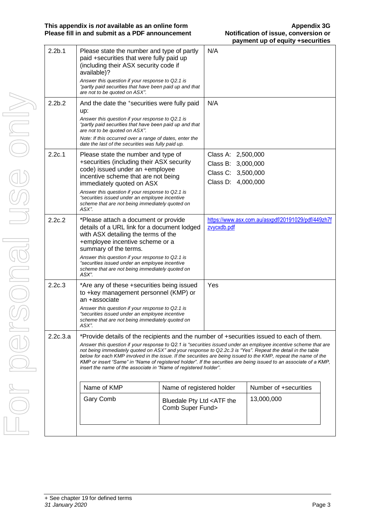#### **This appendix is** *not* **available as an online form<br>
<b>Please fill in and submit as a PDF announcement Alternative Motification of issue, conversion or Please fill in and submit as a PDF announcement**

| 2.2 <sub>b.1</sub> | Please state the number and type of partly<br>paid +securities that were fully paid up<br>(including their ASX security code if<br>available)?                                          |                                                           | N/A                                                    |                                                                                                                                                                                                                                                                                                                                                         |
|--------------------|-----------------------------------------------------------------------------------------------------------------------------------------------------------------------------------------|-----------------------------------------------------------|--------------------------------------------------------|---------------------------------------------------------------------------------------------------------------------------------------------------------------------------------------------------------------------------------------------------------------------------------------------------------------------------------------------------------|
|                    | Answer this question if your response to Q2.1 is<br>"partly paid securities that have been paid up and that<br>are not to be quoted on ASX".                                            |                                                           |                                                        |                                                                                                                                                                                                                                                                                                                                                         |
| 2.2 <sub>b.2</sub> | And the date the +securities were fully paid<br>up:                                                                                                                                     |                                                           | N/A                                                    |                                                                                                                                                                                                                                                                                                                                                         |
|                    | Answer this question if your response to Q2.1 is<br>"partly paid securities that have been paid up and that<br>are not to be quoted on ASX".                                            |                                                           |                                                        |                                                                                                                                                                                                                                                                                                                                                         |
|                    | Note: If this occurred over a range of dates, enter the<br>date the last of the securities was fully paid up.                                                                           |                                                           |                                                        |                                                                                                                                                                                                                                                                                                                                                         |
| 2.2c.1             | Please state the number and type of<br>+securities (including their ASX security<br>code) issued under an +employee<br>incentive scheme that are not being<br>immediately quoted on ASX |                                                           | Class A: 2,500,000<br>Class B:<br>Class C:<br>Class D: | 3,000,000<br>3,500,000<br>4,000,000                                                                                                                                                                                                                                                                                                                     |
|                    | Answer this question if your response to Q2.1 is<br>"securities issued under an employee incentive<br>scheme that are not being immediately quoted on<br>ASX".                          |                                                           |                                                        |                                                                                                                                                                                                                                                                                                                                                         |
| 2.2c.2             | *Please attach a document or provide<br>details of a URL link for a document lodged<br>with ASX detailing the terms of the<br>+employee incentive scheme or a<br>summary of the terms.  |                                                           | zvycxdb.pdf                                            | https://www.asx.com.au/asxpdf/20191029/pdf/449zh7f                                                                                                                                                                                                                                                                                                      |
|                    | Answer this question if your response to Q2.1 is<br>"securities issued under an employee incentive<br>scheme that are not being immediately quoted on<br>ASX".                          |                                                           |                                                        |                                                                                                                                                                                                                                                                                                                                                         |
| 2.2c.3             | *Are any of these +securities being issued<br>to +key management personnel (KMP) or<br>an +associate                                                                                    |                                                           | Yes                                                    |                                                                                                                                                                                                                                                                                                                                                         |
|                    | Answer this question if your response to Q2.1 is<br>"securities issued under an employee incentive<br>scheme that are not being immediately quoted on<br>ASX".                          |                                                           |                                                        |                                                                                                                                                                                                                                                                                                                                                         |
| 2.2c.3.a           | *Provide details of the recipients and the number of +securities issued to each of them.                                                                                                |                                                           |                                                        |                                                                                                                                                                                                                                                                                                                                                         |
|                    | not being immediately quoted on ASX" and your response to Q2.2c.3 is "Yes". Repeat the detail in the table<br>insert the name of the associate in "Name of registered holder".          |                                                           |                                                        | Answer this question if your response to Q2.1 is "securities issued under an employee incentive scheme that are<br>below for each KMP involved in the issue. If the securities are being issued to the KMP, repeat the name of the<br>KMP or insert "Same" in "Name of registered holder". If the securities are being issued to an associate of a KMP, |
|                    | Name of KMP                                                                                                                                                                             | Name of registered holder                                 |                                                        | Number of +securities                                                                                                                                                                                                                                                                                                                                   |
|                    | <b>Gary Comb</b>                                                                                                                                                                        | Bluedale Pty Ltd <atf the<br="">Comb Super Fund&gt;</atf> |                                                        | 13,000,000                                                                                                                                                                                                                                                                                                                                              |
|                    |                                                                                                                                                                                         |                                                           |                                                        |                                                                                                                                                                                                                                                                                                                                                         |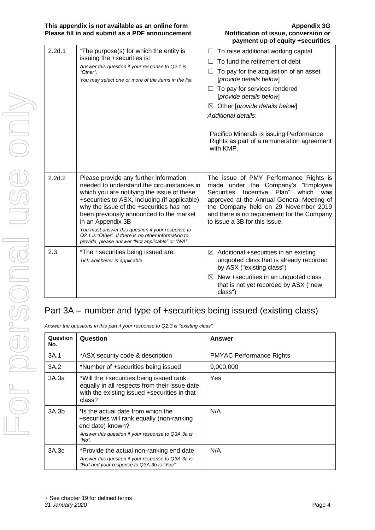### **This appendix is** *not* **available as an online form Appendix 3G Please fill in and submit as a PDF announcement Notification of issue, conversion or**

# **payment up of equity +securities**

| 2.2d.1 | *The purpose(s) for which the entity is<br>issuing the +securities is:<br>Answer this question if your response to Q2.1 is<br>"Other".<br>You may select one or more of the items in the list.                                                                                                                                                                                                                                                                   | To raise additional working capital<br>To fund the retirement of debt<br>To pay for the acquisition of an asset<br>[provide details below]<br>$\Box$ To pay for services rendered<br>[provide details below]<br>Other [provide details below]<br>$\boxtimes$<br>Additional details:<br>Pacifico Minerals is issuing Performance<br>Rights as part of a remuneration agreement<br>with KMP. |
|--------|------------------------------------------------------------------------------------------------------------------------------------------------------------------------------------------------------------------------------------------------------------------------------------------------------------------------------------------------------------------------------------------------------------------------------------------------------------------|--------------------------------------------------------------------------------------------------------------------------------------------------------------------------------------------------------------------------------------------------------------------------------------------------------------------------------------------------------------------------------------------|
| 2.2d.2 | Please provide any further information<br>needed to understand the circumstances in<br>which you are notifying the issue of these<br>+securities to ASX, including (if applicable)<br>why the issue of the +securities has not<br>been previously announced to the market<br>in an Appendix 3B<br>You must answer this question if your response to<br>Q2.1 is "Other". If there is no other information to<br>provide, please answer "Not applicable" or "N/A". | The issue of PMY Performance Rights is<br>made under the Company's "Employee<br>Incentive Plan" which<br><b>Securities</b><br>was<br>approved at the Annual General Meeting of<br>the Company held on 29 November 2019<br>and there is no requirement for the Company<br>to issue a 3B for this issue.                                                                                     |
| 2.3    | *The +securities being issued are:<br>Tick whichever is applicable                                                                                                                                                                                                                                                                                                                                                                                               | $\boxtimes$ Additional +securities in an existing<br>unquoted class that is already recorded<br>by ASX ("existing class")<br>$\boxtimes$ New +securities in an unquoted class<br>that is not yet recorded by ASX ("new<br>class")                                                                                                                                                          |

# Part 3A – number and type of +securities being issued (existing class)

*Answer the questions in this part if your response to Q2.3 is "existing class".*

| Question<br>No. | Question                                                                                                                                                            | <b>Answer</b>                   |
|-----------------|---------------------------------------------------------------------------------------------------------------------------------------------------------------------|---------------------------------|
| 3A.1            | *ASX security code & description                                                                                                                                    | <b>PMYAC Performance Rights</b> |
| 3A.2            | *Number of +securities being issued                                                                                                                                 | 9,000,000                       |
| 3A.3a           | *Will the +securities being issued rank<br>equally in all respects from their issue date<br>with the existing issued +securities in that<br>class?                  | Yes                             |
| 3A.3b           | *Is the actual date from which the<br>+securities will rank equally (non-ranking<br>end date) known?<br>Answer this question if your response to Q3A.3a is<br>"No". | N/A                             |
| 3A.3c           | *Provide the actual non-ranking end date<br>Answer this question if your response to Q3A.3a is<br>"No" and your response to Q3A.3b is "Yes".                        | N/A                             |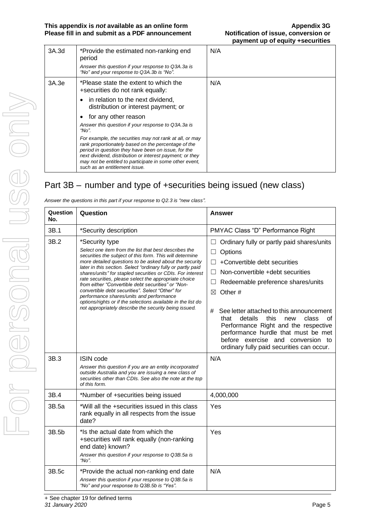| 3A.3d | *Provide the estimated non-ranking end<br>period<br>Answer this question if your response to Q3A.3a is<br>"No" and your response to Q3A.3b is "No".                                                                                                                                                                                                                                                                       | N/A |  |
|-------|---------------------------------------------------------------------------------------------------------------------------------------------------------------------------------------------------------------------------------------------------------------------------------------------------------------------------------------------------------------------------------------------------------------------------|-----|--|
| 3A.3e | *Please state the extent to which the<br>+securities do not rank equally:<br>in relation to the next dividend,<br>٠<br>distribution or interest payment; or                                                                                                                                                                                                                                                               | N/A |  |
|       | for any other reason<br>٠<br>Answer this question if your response to Q3A.3a is<br>"No".<br>For example, the securities may not rank at all, or may<br>rank proportionately based on the percentage of the<br>period in question they have been on issue, for the<br>next dividend, distribution or interest payment; or they<br>may not be entitled to participate in some other event,<br>such as an entitlement issue. |     |  |

# Part 3B – number and type of +securities being issued (new class)

| Question<br>No. | Question                                                                                                                                                                                                                                                                                                                                                                                                                                                                                                                                                                                                                                                            | Answer                                                                                                                                                                                                                                                                                                                                                                                                                                                                 |
|-----------------|---------------------------------------------------------------------------------------------------------------------------------------------------------------------------------------------------------------------------------------------------------------------------------------------------------------------------------------------------------------------------------------------------------------------------------------------------------------------------------------------------------------------------------------------------------------------------------------------------------------------------------------------------------------------|------------------------------------------------------------------------------------------------------------------------------------------------------------------------------------------------------------------------------------------------------------------------------------------------------------------------------------------------------------------------------------------------------------------------------------------------------------------------|
| 3B.1            | *Security description                                                                                                                                                                                                                                                                                                                                                                                                                                                                                                                                                                                                                                               | PMYAC Class "D" Performance Right                                                                                                                                                                                                                                                                                                                                                                                                                                      |
| 3B.2            | *Security type<br>Select one item from the list that best describes the<br>securities the subiect of this form. This will determine<br>more detailed questions to be asked about the security<br>later in this section. Select "ordinary fully or partly paid<br>shares/units" for stapled securities or CDIs. For interest<br>rate securities, please select the appropriate choice<br>from either "Convertible debt securities" or "Non-<br>convertible debt securities". Select "Other" for<br>performance shares/units and performance<br>options/rights or if the selections available in the list do<br>not appropriately describe the security being issued. | Ordinary fully or partly paid shares/units<br>$\Box$<br>Options<br>+Convertible debt securities<br>Non-convertible +debt securities<br>$\perp$<br>Redeemable preference shares/units<br>Other#<br>⊠<br>See letter attached to this announcement<br>#<br>that<br>details<br>this<br>new<br>class<br>Ωt<br>Performance Right and the respective<br>performance hurdle that must be met<br>before exercise and conversion to<br>ordinary fully paid securities can occur. |
| 3B.3            | <b>ISIN code</b><br>Answer this question if you are an entity incorporated<br>outside Australia and you are issuing a new class of<br>securities other than CDIs. See also the note at the top<br>of this form.                                                                                                                                                                                                                                                                                                                                                                                                                                                     | N/A                                                                                                                                                                                                                                                                                                                                                                                                                                                                    |
| 3B.4            | *Number of +securities being issued                                                                                                                                                                                                                                                                                                                                                                                                                                                                                                                                                                                                                                 | 4,000,000                                                                                                                                                                                                                                                                                                                                                                                                                                                              |
| 3B.5a           | *Will all the +securities issued in this class<br>rank equally in all respects from the issue<br>date?                                                                                                                                                                                                                                                                                                                                                                                                                                                                                                                                                              | Yes                                                                                                                                                                                                                                                                                                                                                                                                                                                                    |
| 3B.5b           | *Is the actual date from which the<br>+securities will rank equally (non-ranking<br>end date) known?<br>Answer this question if your response to Q3B.5a is<br>" $No$ ".                                                                                                                                                                                                                                                                                                                                                                                                                                                                                             | Yes                                                                                                                                                                                                                                                                                                                                                                                                                                                                    |
| 3B.5c           | *Provide the actual non-ranking end date<br>Answer this question if your response to Q3B.5a is<br>"No" and your response to Q3B.5b is "Yes".                                                                                                                                                                                                                                                                                                                                                                                                                                                                                                                        | N/A                                                                                                                                                                                                                                                                                                                                                                                                                                                                    |

*Answer the questions in this part if your response to Q2.3 is "new class".*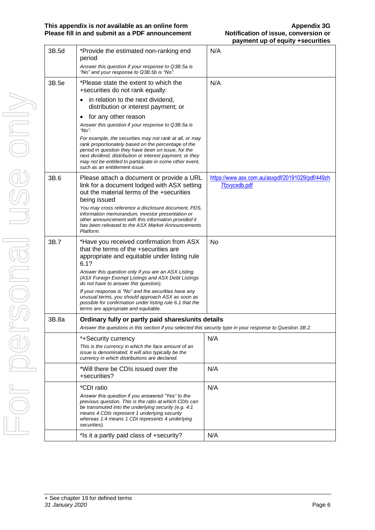#### **This appendix is** *not* **available as an online form<br>
<b>Please fill in and submit as a PDF announcement Alternative Motification of issue, conversion or Please fill in and submit as a PDF announcement**

| 3B.5d | *Provide the estimated non-ranking end<br>period                                                                                                                                                                                                                                                                              | N/A                                                               |
|-------|-------------------------------------------------------------------------------------------------------------------------------------------------------------------------------------------------------------------------------------------------------------------------------------------------------------------------------|-------------------------------------------------------------------|
|       | Answer this question if your response to Q3B.5a is<br>"No" and your response to Q3B.5b is "No".                                                                                                                                                                                                                               |                                                                   |
| 3B.5e | *Please state the extent to which the<br>+securities do not rank equally:                                                                                                                                                                                                                                                     | N/A                                                               |
|       | in relation to the next dividend,<br>distribution or interest payment; or                                                                                                                                                                                                                                                     |                                                                   |
|       | for any other reason<br>$\bullet$                                                                                                                                                                                                                                                                                             |                                                                   |
|       | Answer this question if your response to Q3B.5a is<br>"No".                                                                                                                                                                                                                                                                   |                                                                   |
|       | For example, the securities may not rank at all, or may<br>rank proportionately based on the percentage of the<br>period in question they have been on issue, for the<br>next dividend, distribution or interest payment; or they<br>may not be entitled to participate in some other event,<br>such as an entitlement issue. |                                                                   |
| 3B.6  | Please attach a document or provide a URL<br>link for a document lodged with ASX setting<br>out the material terms of the +securities<br>being issued                                                                                                                                                                         | https://www.asx.com.au/asxpdf/20191029/pdf/449zh<br>7fzvycxdb.pdf |
|       | You may cross reference a disclosure document, PDS,<br>information memorandum, investor presentation or<br>other announcement with this information provided it<br>has been released to the ASX Market Announcements<br>Platform.                                                                                             |                                                                   |
| 3B.7  | *Have you received confirmation from ASX<br>that the terms of the +securities are<br>appropriate and equitable under listing rule<br>6.1?                                                                                                                                                                                     | No                                                                |
|       | Answer this question only if you are an ASX Listing.<br>(ASX Foreign Exempt Listings and ASX Debt Listings<br>do not have to answer this question).                                                                                                                                                                           |                                                                   |
|       | If your response is "No" and the securities have any<br>unusual terms, you should approach ASX as soon as<br>possible for confirmation under listing rule 6.1 that the<br>terms are appropriate and equitable.                                                                                                                |                                                                   |
| 3B.8a | Ordinary fully or partly paid shares/units details<br>Answer the questions in this section if you selected this security type in your response to Question 3B.2.                                                                                                                                                              |                                                                   |
|       | *+Security currency                                                                                                                                                                                                                                                                                                           | N/A                                                               |
|       | This is the currency in which the face amount of an<br>issue is denominated. It will also typically be the<br>currency in which distributions are declared.                                                                                                                                                                   |                                                                   |
|       | *Will there be CDIs issued over the<br>+securities?                                                                                                                                                                                                                                                                           | N/A                                                               |
|       | *CDI ratio                                                                                                                                                                                                                                                                                                                    | N/A                                                               |
|       | Answer this question if you answered "Yes" to the<br>previous question. This is the ratio at which CDIs can<br>be transmuted into the underlying security (e.g. 4:1)<br>means 4 CDIs represent 1 underlying security<br>whereas 1:4 means 1 CDI represents 4 underlying<br>securities).                                       |                                                                   |
|       | *Is it a partly paid class of +security?                                                                                                                                                                                                                                                                                      | N/A                                                               |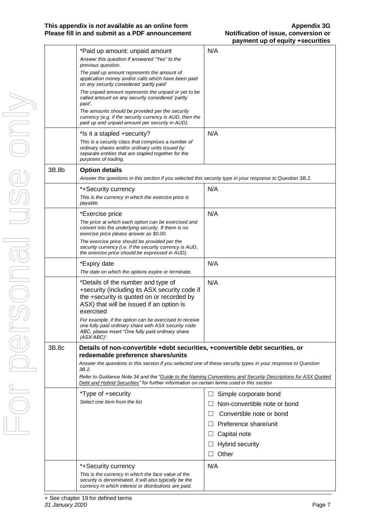### **This appendix is** *not* **available as an online form <b>Appendix 3G**<br>Please fill in and submit as a PDF announcement **Appendix 3G**<br>Notification of issue, conversion or **Please fill in and submit as a PDF announcement**

|       |                                                                                                                                                                                           | payment up or equity +securities                                                                            |
|-------|-------------------------------------------------------------------------------------------------------------------------------------------------------------------------------------------|-------------------------------------------------------------------------------------------------------------|
|       | *Paid up amount: unpaid amount                                                                                                                                                            | N/A                                                                                                         |
|       | Answer this question if answered "Yes" to the<br>previous question.                                                                                                                       |                                                                                                             |
|       | The paid up amount represents the amount of<br>application money and/or calls which have been paid<br>on any security considered 'partly paid'                                            |                                                                                                             |
|       | The unpaid amount represents the unpaid or yet to be<br>called amount on any security considered 'partly<br>paid'.                                                                        |                                                                                                             |
|       | The amounts should be provided per the security<br>currency (e.g. if the security currency is AUD, then the<br>paid up and unpaid amount per security in AUD).                            |                                                                                                             |
|       | *Is it a stapled +security?                                                                                                                                                               | N/A                                                                                                         |
|       | This is a security class that comprises a number of<br>ordinary shares and/or ordinary units issued by<br>separate entities that are stapled together for the<br>purposes of trading.     |                                                                                                             |
| 3B.8b | <b>Option details</b>                                                                                                                                                                     |                                                                                                             |
|       | Answer the questions in this section if you selected this security type in your response to Question 3B.2.                                                                                |                                                                                                             |
|       | *+Security currency                                                                                                                                                                       | N/A                                                                                                         |
|       | This is the currency in which the exercise price is<br>payable.                                                                                                                           |                                                                                                             |
|       | *Exercise price                                                                                                                                                                           | N/A                                                                                                         |
|       | The price at which each option can be exercised and<br>convert into the underlying security. If there is no<br>exercise price please answer as \$0.00.                                    |                                                                                                             |
|       | The exercise price should be provided per the<br>security currency (i.e. if the security currency is AUD,<br>the exercise price should be expressed in AUD).                              |                                                                                                             |
|       | *Expiry date                                                                                                                                                                              | N/A                                                                                                         |
|       | The date on which the options expire or terminate.                                                                                                                                        |                                                                                                             |
|       | *Details of the number and type of<br>+security (including its ASX security code if<br>the +security is quoted on or recorded by<br>ASX) that will be issued if an option is<br>exercised | N/A                                                                                                         |
|       | For example, if the option can be exercised to receive<br>one fully paid ordinary share with ASX security code<br>ABC, please insert "One fully paid ordinary share<br>$(ASK:ABC)^{n}$ .  |                                                                                                             |
| 3B.8c | Details of non-convertible +debt securities, +convertible debt securities, or<br>redeemable preference shares/units                                                                       |                                                                                                             |
|       | Answer the questions in this section if you selected one of these security types in your response to Question<br>3B.2.                                                                    |                                                                                                             |
|       | Debt and Hybrid Securities" for further information on certain terms used in this section                                                                                                 | Refer to Guidance Note 34 and the "Guide to the Naming Conventions and Security Descriptions for ASX Quoted |
|       | *Type of +security                                                                                                                                                                        | Simple corporate bond<br>ш                                                                                  |
|       | Select one item from the list                                                                                                                                                             | Non-convertible note or bond                                                                                |
|       |                                                                                                                                                                                           | Convertible note or bond<br>$\perp$                                                                         |
|       |                                                                                                                                                                                           | $\Box$ Preference share/unit                                                                                |
|       |                                                                                                                                                                                           | Capital note<br>$\perp$                                                                                     |
|       |                                                                                                                                                                                           | <b>Hybrid security</b><br>ப                                                                                 |
|       |                                                                                                                                                                                           | Other<br>$\mathsf{L}$                                                                                       |
|       | *+Security currency                                                                                                                                                                       | N/A                                                                                                         |
|       | This is the currency in which the face value of the<br>security is denominated. It will also typically be the<br>currency in which interest or distributions are paid.                    |                                                                                                             |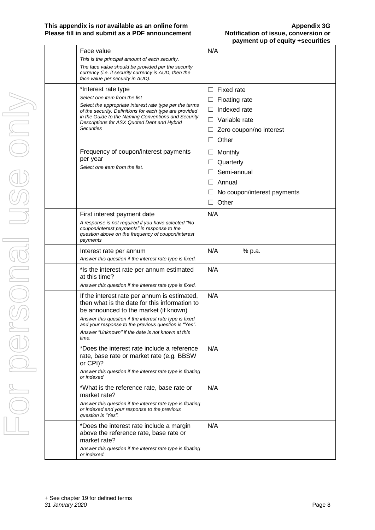### **This appendix is** *not* **available as an online form<br>
<b>Please fill in and submit as a PDF announcement Alternation of issue, conversion or Please fill in and submit as a PDF announcement**

| Face value<br>This is the principal amount of each security.<br>The face value should be provided per the security<br>currency (i.e. if security currency is AUD, then the                                                                                                                                                         | N/A                                                                                                                                       |
|------------------------------------------------------------------------------------------------------------------------------------------------------------------------------------------------------------------------------------------------------------------------------------------------------------------------------------|-------------------------------------------------------------------------------------------------------------------------------------------|
| face value per security in AUD).<br>*Interest rate type<br>Select one item from the list<br>Select the appropriate interest rate type per the terms<br>of the security. Definitions for each type are provided<br>in the Guide to the Naming Conventions and Security<br>Descriptions for ASX Quoted Debt and Hybrid<br>Securities | <b>Fixed rate</b><br>ப<br><b>Floating rate</b><br>ப<br>Indexed rate<br>ш<br>$\Box$ Variable rate<br>Zero coupon/no interest<br>ப<br>Other |
| Frequency of coupon/interest payments<br>per year<br>Select one item from the list.                                                                                                                                                                                                                                                | Monthly<br>⊔<br>Quarterly<br>⊔<br>Semi-annual<br>Annual<br>$\perp$<br>No coupon/interest payments<br>Other                                |
| First interest payment date<br>A response is not required if you have selected "No<br>coupon/interest payments" in response to the<br>question above on the frequency of coupon/interest<br>payments                                                                                                                               | N/A                                                                                                                                       |
| Interest rate per annum<br>Answer this question if the interest rate type is fixed.                                                                                                                                                                                                                                                | N/A<br>% p.a.                                                                                                                             |
| * Is the interest rate per annum estimated<br>at this time?<br>Answer this question if the interest rate type is fixed.                                                                                                                                                                                                            | N/A                                                                                                                                       |
| If the interest rate per annum is estimated,<br>then what is the date for this information to<br>be announced to the market (if known)<br>Answer this question if the interest rate type is fixed<br>and vour response to the previous question is "Yes".<br>Answer "Unknown" if the date is not known at this<br>time.            | N/A                                                                                                                                       |
| *Does the interest rate include a reference<br>rate, base rate or market rate (e.g. BBSW<br>or CPI)?<br>Answer this question if the interest rate type is floating<br>or indexed                                                                                                                                                   | N/A                                                                                                                                       |
| *What is the reference rate, base rate or<br>market rate?<br>Answer this question if the interest rate type is floating<br>or indexed and your response to the previous<br>question is "Yes".                                                                                                                                      | N/A                                                                                                                                       |
| *Does the interest rate include a margin<br>above the reference rate, base rate or<br>market rate?<br>Answer this question if the interest rate type is floating<br>or indexed.                                                                                                                                                    | N/A                                                                                                                                       |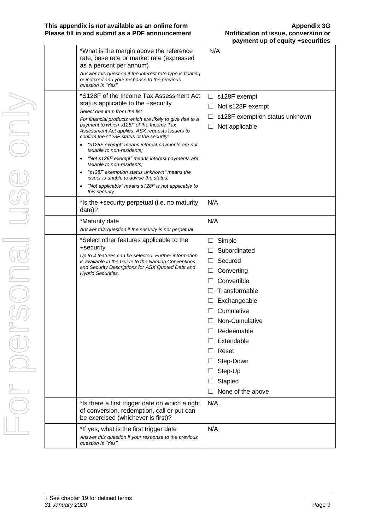### **This appendix is** *not* **available as an online form<br>
<b>Please fill in and submit as a PDF announcement Alternative Motification of issue, conversion or Please fill in and submit as a PDF announcement**

| *What is the margin above the reference<br>rate, base rate or market rate (expressed<br>as a percent per annum)<br>Answer this question if the interest rate type is floating<br>or indexed and your response to the previous<br>question is "Yes".                                                                                                                                                                                                                                                                                                                                                                                                        | N/A                                                                                                                                                                                                                                                                    |
|------------------------------------------------------------------------------------------------------------------------------------------------------------------------------------------------------------------------------------------------------------------------------------------------------------------------------------------------------------------------------------------------------------------------------------------------------------------------------------------------------------------------------------------------------------------------------------------------------------------------------------------------------------|------------------------------------------------------------------------------------------------------------------------------------------------------------------------------------------------------------------------------------------------------------------------|
| *S128F of the Income Tax Assessment Act<br>status applicable to the +security<br>Select one item from the list<br>For financial products which are likely to give rise to a<br>payment to which s128F of the Income Tax<br>Assessment Act applies, ASX requests issuers to<br>confirm the s128F status of the security:<br>"s128F exempt" means interest payments are not<br>taxable to non-residents;<br>"Not s128F exempt" means interest payments are<br>taxable to non-residents;<br>"s128F exemption status unknown" means the<br><i>issuer is unable to advise the status:</i><br>"Not applicable" means s128F is not applicable to<br>this security | $\Box$ s128F exempt<br>Not s128F exempt<br>⊔<br>s128F exemption status unknown<br>Not applicable                                                                                                                                                                       |
| *Is the +security perpetual (i.e. no maturity<br>date)?                                                                                                                                                                                                                                                                                                                                                                                                                                                                                                                                                                                                    | N/A                                                                                                                                                                                                                                                                    |
| *Maturity date<br>Answer this question if the security is not perpetual                                                                                                                                                                                                                                                                                                                                                                                                                                                                                                                                                                                    | N/A                                                                                                                                                                                                                                                                    |
| *Select other features applicable to the<br>+security<br>Up to 4 features can be selected. Further information<br>is available in the Guide to the Naming Conventions<br>and Security Descriptions for ASX Quoted Debt and<br><b>Hybrid Securities.</b>                                                                                                                                                                                                                                                                                                                                                                                                    | Simple<br>⊔<br>Subordinated<br>Secured<br>ப<br>Converting<br>ப<br>Convertible<br>Transformable<br>$\perp$<br>Exchangeable<br>ш<br>Cumulative<br>Non-Cumulative<br>Redeemable<br>Extendable<br>Reset<br>$\perp$<br>Step-Down<br>Step-Up<br>Stapled<br>None of the above |
| *Is there a first trigger date on which a right<br>of conversion, redemption, call or put can<br>be exercised (whichever is first)?                                                                                                                                                                                                                                                                                                                                                                                                                                                                                                                        | N/A                                                                                                                                                                                                                                                                    |
| *If yes, what is the first trigger date<br>Answer this question if your response to the previous<br>question is "Yes".                                                                                                                                                                                                                                                                                                                                                                                                                                                                                                                                     | N/A                                                                                                                                                                                                                                                                    |
|                                                                                                                                                                                                                                                                                                                                                                                                                                                                                                                                                                                                                                                            |                                                                                                                                                                                                                                                                        |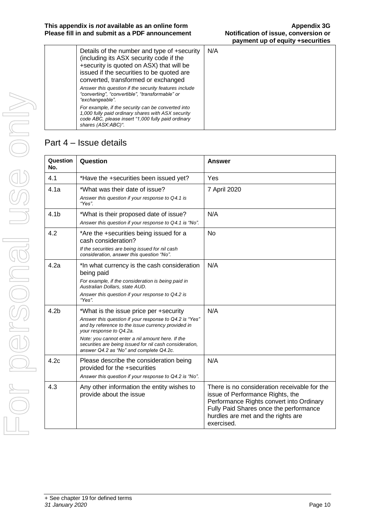| Details of the number and type of +security<br>(including its ASX security code if the<br>+security is quoted on ASX) that will be<br>issued if the securities to be quoted are<br>converted, transformed or exchanged | N/A |
|------------------------------------------------------------------------------------------------------------------------------------------------------------------------------------------------------------------------|-----|
| Answer this question if the security features include<br>"converting", "convertible", "transformable" or<br>"exchangeable".                                                                                            |     |
| For example, if the security can be converted into<br>1,000 fully paid ordinary shares with ASX security<br>code ABC, please insert "1,000 fully paid ordinary<br>shares (ASX:ABC)".                                   |     |

## Part 4 – Issue details

| Question<br>No.  | Question                                                                                                                                                                                                                                                                                                                                    | <b>Answer</b>                                                                                                                                                                                                              |
|------------------|---------------------------------------------------------------------------------------------------------------------------------------------------------------------------------------------------------------------------------------------------------------------------------------------------------------------------------------------|----------------------------------------------------------------------------------------------------------------------------------------------------------------------------------------------------------------------------|
| 4.1              | *Have the +securities been issued yet?                                                                                                                                                                                                                                                                                                      | Yes                                                                                                                                                                                                                        |
| 4.1a             | *What was their date of issue?<br>Answer this question if your response to Q4.1 is<br>"Yes".                                                                                                                                                                                                                                                | 7 April 2020                                                                                                                                                                                                               |
| 4.1 <sub>b</sub> | *What is their proposed date of issue?<br>Answer this question if your response to Q4.1 is "No".                                                                                                                                                                                                                                            | N/A                                                                                                                                                                                                                        |
| 4.2              | *Are the +securities being issued for a<br>cash consideration?<br>If the securities are being issued for nil cash<br>consideration, answer this question "No".                                                                                                                                                                              | <b>No</b>                                                                                                                                                                                                                  |
| 4.2a             | *In what currency is the cash consideration<br>being paid<br>For example, if the consideration is being paid in<br>Australian Dollars, state AUD.<br>Answer this question if your response to Q4.2 is<br>"Yes".                                                                                                                             | N/A                                                                                                                                                                                                                        |
| 4.2 <sub>b</sub> | *What is the issue price per +security<br>Answer this question if your response to Q4.2 is "Yes"<br>and by reference to the issue currency provided in<br>your response to Q4.2a.<br>Note: you cannot enter a nil amount here. If the<br>securities are being issued for nil cash consideration,<br>answer Q4.2 as "No" and complete Q4.2c. | N/A                                                                                                                                                                                                                        |
| 4.2c             | Please describe the consideration being<br>provided for the +securities<br>Answer this question if your response to Q4.2 is "No".                                                                                                                                                                                                           | N/A                                                                                                                                                                                                                        |
| 4.3              | Any other information the entity wishes to<br>provide about the issue                                                                                                                                                                                                                                                                       | There is no consideration receivable for the<br>issue of Performance Rights, the<br>Performance Rights convert into Ordinary<br>Fully Paid Shares once the performance<br>hurdles are met and the rights are<br>exercised. |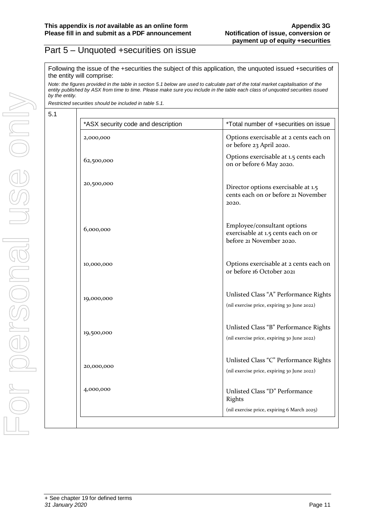## Part 5 – Unquoted +securities on issue

Following the issue of the +securities the subject of this application, the unquoted issued +securities of the entity will comprise:

*Note: the figures provided in the table in section 5.1 below are used to calculate part of the total market capitalisation of the entity published by ASX from time to time. Please make sure you include in the table each class of unquoted securities issued by the entity.*

*Restricted securities should be included in table 5.1.*

5.1

| *ASX security code and description | *Total number of +securities on issue                                                          |
|------------------------------------|------------------------------------------------------------------------------------------------|
| 2,000,000                          | Options exercisable at 2 cents each on<br>or before 23 April 2020.                             |
| 62,500,000                         | Options exercisable at 1.5 cents each<br>on or before 6 May 2020.                              |
| 20,500,000                         | Director options exercisable at 1.5<br>cents each on or before 21 November<br>2020.            |
| 6,000,000                          | Employee/consultant options<br>exercisable at 1.5 cents each on or<br>before 21 November 2020. |
| 10,000,000                         | Options exercisable at 2 cents each on<br>or before 16 October 2021                            |
| 19,000,000                         | Unlisted Class "A" Performance Rights<br>(nil exercise price, expiring 30 June 2022)           |
| 19,500,000                         | Unlisted Class "B" Performance Rights<br>(nil exercise price, expiring 30 June 2022)           |
| 20,000,000                         | Unlisted Class "C" Performance Rights<br>(nil exercise price, expiring 30 June 2022)           |
| 4,000,000                          | Unlisted Class "D" Performance<br>Rights                                                       |
|                                    | (nil exercise price, expiring 6 March 2025)                                                    |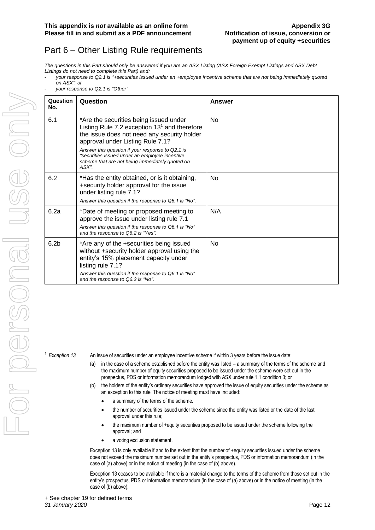## Part 6 – Other Listing Rule requirements

*The questions in this Part should only be answered if you are an ASX Listing (ASX Foreign Exempt Listings and ASX Debt Listings do not need to complete this Part) and:*

| your response to Q2.1 is "+securities issued under an +employee incentive scheme that are not being immediately quoted |  |  |  |  |
|------------------------------------------------------------------------------------------------------------------------|--|--|--|--|
| on ASX"; or                                                                                                            |  |  |  |  |

- *your response to Q2.1 is "Other"*

| Question<br>No.  | Question                                                                                                                                                                                                                                                                                                                                         | Answer    |
|------------------|--------------------------------------------------------------------------------------------------------------------------------------------------------------------------------------------------------------------------------------------------------------------------------------------------------------------------------------------------|-----------|
| 6.1              | *Are the securities being issued under<br>Listing Rule 7.2 exception $131$ and therefore<br>the issue does not need any security holder<br>approval under Listing Rule 7.1?<br>Answer this question if your response to Q2.1 is<br>"securities issued under an employee incentive<br>scheme that are not being immediately quoted on<br>$ASX$ ". | <b>No</b> |
| 6.2              | *Has the entity obtained, or is it obtaining,<br>+security holder approval for the issue<br>under listing rule 7.1?<br>Answer this question if the response to Q6.1 is "No".                                                                                                                                                                     | No.       |
| 6.2a             | *Date of meeting or proposed meeting to<br>approve the issue under listing rule 7.1<br>Answer this question if the response to Q6.1 is "No"<br>and the response to Q6.2 is "Yes".                                                                                                                                                                | N/A       |
| 6.2 <sub>b</sub> | *Are any of the +securities being issued<br>without +security holder approval using the<br>entity's 15% placement capacity under<br>listing rule 7.1?<br>Answer this question if the response to Q6.1 is "No"<br>and the response to Q6.2 is "No".                                                                                               | No.       |

<sup>1</sup> *Exception 13* An issue of securities under an employee incentive scheme if within 3 years before the issue date:

- (a) in the case of a scheme established before the entity was listed a summary of the terms of the scheme and the maximum number of equity securities proposed to be issued under the scheme were set out in the prospectus, PDS or information memorandum lodged with ASX under rule 1.1 condition 3; or
- (b) the holders of the entity's ordinary securities have approved the issue of equity securities under the scheme as an exception to this rule. The notice of meeting must have included:
	- a summary of the terms of the scheme.
	- the number of securities issued under the scheme since the entity was listed or the date of the last approval under this rule;
	- the maximum number of +equity securities proposed to be issued under the scheme following the approval; and
	- a voting exclusion statement.

Exception 13 is only available if and to the extent that the number of +equity securities issued under the scheme does not exceed the maximum number set out in the entity's prospectus, PDS or information memorandum (in the case of (a) above) or in the notice of meeting (in the case of (b) above).

Exception 13 ceases to be available if there is a material change to the terms of the scheme from those set out in the entity's prospectus, PDS or information memorandum (in the case of (a) above) or in the notice of meeting (in the case of (b) above).